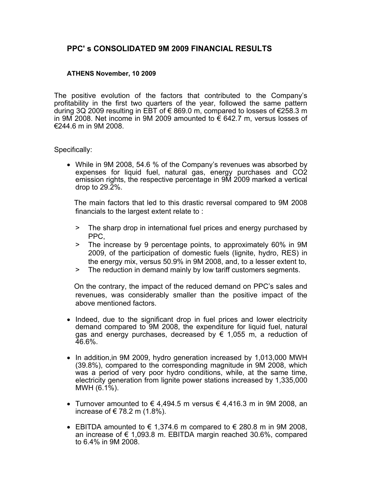# **PPC' s CONSOLIDATED 9Μ 2009 FINANCIAL RESULTS**

### **ATHENS November, 10 2009**

The positive evolution of the factors that contributed to the Company's profitability in the first two quarters of the year, followed the same pattern during 3Q 2009 resulting in EBT of € 869.0 m, compared to losses of €258.3 m in 9M 2008. Net income in 9M 2009 amounted to € 642.7 m, versus losses of €244.6 m in 9M 2008.

#### Specifically:

• While in 9M 2008, 54.6 % of the Company's revenues was absorbed by expenses for liquid fuel, natural gas, energy purchases and CO2 emission rights, the respective percentage in 9M 2009 marked a vertical drop to 29.2%.

 The main factors that led to this drastic reversal compared to 9M 2008 financials to the largest extent relate to :

- > The sharp drop in international fuel prices and energy purchased by PPC,
- > The increase by 9 percentage points, to approximately 60% in 9M 2009, of the participation of domestic fuels (lignite, hydro, RES) in the energy mix, versus 50.9% in 9M 2008, and, to a lesser extent to,
- > The reduction in demand mainly by low tariff customers segments.

 On the contrary, the impact of the reduced demand on PPC's sales and revenues, was considerably smaller than the positive impact of the above mentioned factors.

- Indeed, due to the significant drop in fuel prices and lower electricity demand compared to 9M 2008, the expenditure for liquid fuel, natural gas and energy purchases, decreased by  $\epsilon$  1,055 m, a reduction of 46.6%.
- In addition, in 9M 2009, hydro generation increased by 1,013,000 MWH (39.8%), compared to the corresponding magnitude in 9M 2008, which was a period of very poor hydro conditions, while, at the same time, electricity generation from lignite power stations increased by 1,335,000  $MWH (6.1\%)$ .
- Turnover amounted to  $\epsilon$  4,494.5 m versus  $\epsilon$  4,416.3 m in 9M 2008, an increase of  $\in$  78.2 m (1.8%).
- EBITDA amounted to  $\epsilon$  1,374.6 m compared to  $\epsilon$  280.8 m in 9M 2008, an increase of € 1,093.8 m. ΕΒΙΤDΑ margin reached 30.6%, compared to 6.4% in 9M 2008.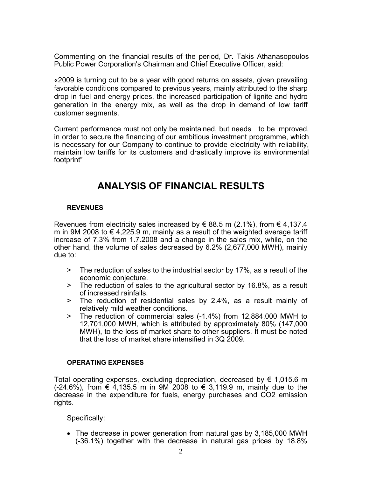Commenting on the financial results of the period, Dr. Takis Athanasopoulos Public Power Corporation's Chairman and Chief Executive Officer, said:

«2009 is turning out to be a year with good returns on assets, given prevailing favorable conditions compared to previous years, mainly attributed to the sharp drop in fuel and energy prices, the increased participation of lignite and hydro generation in the energy mix, as well as the drop in demand of low tariff customer segments.

Current performance must not only be maintained, but needs to be improved, in order to secure the financing of our ambitious investment programme, which is necessary for our Company to continue to provide electricity with reliability, maintain low tariffs for its customers and drastically improve its environmental footprint"

# **ANALYSIS OF FINANCIAL RESULTS**

## **REVENUES**

Revenues from electricity sales increased by  $\in$  88.5 m (2.1%), from  $\in$  4,137.4 m in 9M 2008 to € 4,225.9 m, mainly as a result of the weighted average tariff increase of 7.3% from 1.7.2008 and a change in the sales mix, while, on the other hand, the volume of sales decreased by 6.2% (2,677,000 MWH), mainly due to:

- > The reduction of sales to the industrial sector by 17%, as a result of the economic conjecture.
- > The reduction of sales to the agricultural sector by 16.8%, as a result of increased rainfalls.
- > The reduction of residential sales by 2.4%, as a result mainly of relatively mild weather conditions.
- > The reduction of commercial sales (-1.4%) from 12,884,000 MWH to 12,701,000 MWH, which is attributed by approximately 80% (147,000 MWH), to the loss of market share to other suppliers. It must be noted that the loss of market share intensified in 3Q 2009.

### **OPERATlNG EXPENSES**

Total operating expenses, excluding depreciation, decreased by € 1,015.6 m (-24.6%), from € 4,135.5 m in 9M 2008 to € 3,119.9 m, mainly due to the decrease in the expenditure for fuels, energy purchases and CO2 emission rights.

Specifically:

• The decrease in power generation from natural gas by 3,185,000 MWH (-36.1%) together with the decrease in natural gas prices by 18.8%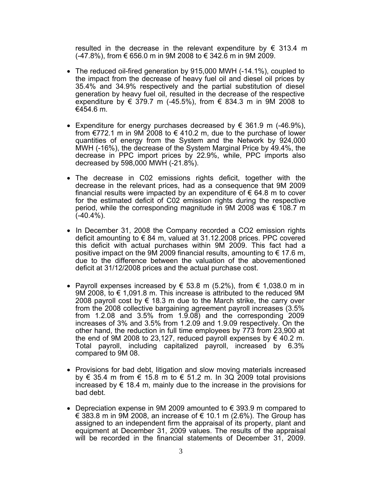resulted in the decrease in the relevant expenditure by  $\epsilon$  313.4 m  $(-47.8%)$ , from € 656.0 m in 9M 2008 to € 342.6 m in 9M 2009.

- The reduced oil-fired generation by 915,000 MWH (-14.1%), coupled to the impact from the decrease of heavy fuel oil and diesel oil prices by 35.4% and 34.9% respectively and the partial substitution of diesel generation by heavy fuel oil, resulted in the decrease of the respective expenditure by € 379.7 m (-45.5%), from € 834.3 m in 9M 2008 to €454.6 m.
- Expenditure for energy purchases decreased by  $\epsilon$  361.9 m (-46.9%), from  $\epsilon$ 772.1 m in 9M 2008 to  $\epsilon$  410.2 m, due to the purchase of lower quantities of energy from the System and the Network by 924,000 MWH (-16%), the decrease of the System Marginal Price by 49.4%, the decrease in PPC import prices by 22.9%, while, PPC imports also decreased by 598,000 MWH (-21.8%).
- The decrease in C02 emissions rights deficit, together with the decrease in the relevant prices, had as a consequence that 9M 2009 financial results were impacted by an expenditure of  $\epsilon$  64.8 m to cover for the estimated deficit of C02 emission rights during the respective period, while the corresponding magnitude in 9M 2008 was  $\epsilon$  108.7 m  $(-40.4\%)$ .
- In December 31, 2008 the Company recorded a CO2 emission rights deficit amounting to  $\epsilon$  84 m, valued at 31.12.2008 prices. PPC covered this deficit with actual purchases within 9M 2009. This fact had a positive impact on the 9M 2009 financial results, amounting to  $\epsilon$  17.6 m, due to the difference between the valuation of the abovementioned deficit at 31/12/2008 prices and the actual purchase cost.
- Payroll expenses increased by  $\in$  53.8 m (5.2%), from  $\in$  1,038.0 m in 9M 2008, to  $\epsilon$  1,091.8 m. This increase is attributed to the reduced 9M 2008 payroll cost by  $\epsilon$  18.3 m due to the March strike, the carry over from the 2008 collective bargaining agreement payroll increases (3.5% from  $1.2.08$  and  $3.5\%$  from  $1.9.08$  and the corresponding 2009 increases of 3% and 3.5% from 1.2.09 and 1.9.09 respectively. On the other hand, the reduction in full time employees by 773 from 23,900 at the end of 9M 2008 to 23,127, reduced payroll expenses by  $\in$  40.2 m. Total payroll, including capitalized payroll, increased by 6.3% compared to 9M 08.
- Provisions for bad debt, litigation and slow moving materials increased by  $\epsilon$  35.4 m from  $\epsilon$  15.8 m to  $\epsilon$  51.2 m. In 3Q 2009 total provisions increased by  $\epsilon$  18.4 m, mainly due to the increase in the provisions for bad debt.
- Depreciation expense in 9M 2009 amounted to  $\epsilon$  393.9 m compared to € 383.8 m in 9M 2008, an increase of  $∈ 10.1$  m (2.6%). The Group has assigned to an independent firm the appraisal of its property, plant and equipment at December 31, 2009 values. The results of the appraisal will be recorded in the financial statements of December 31, 2009.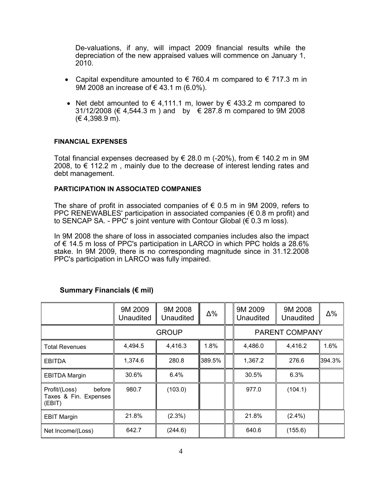De-valuations, if any, will impact 2009 financial results while the depreciation of the new appraised values will commence on January 1, 2010.

- Capital expenditure amounted to  $\epsilon$  760.4 m compared to  $\epsilon$  717.3 m in 9M 2008 an increase of €43.1 m (6.0%).
- Net debt amounted to  $\in$  4.111.1 m, lower by  $\in$  433.2 m compared to 31/12/2008 (€ 4,544.3 m) and by  $\in$  287.8 m compared to 9M 2008 (€ 4,398.9 m).

#### **FINANCIAL EXPENSES**

Total financial expenses decreased by € 28.0 m (-20%), from € 140.2 m in 9M 2008, to € 112.2 m, mainly due to the decrease of interest lending rates and debt management.

### **PARTlCIPATlON ΙΝ ASSOCIATED COMPANIES**

The share of profit in associated companies of  $\epsilon$  0.5 m in 9M 2009, refers to PPC RENEWABLES' participation in associated companies ( $\epsilon$  0.8 m profit) and to SENCAP SA. - PPC' s joint venture with Contour Global (€ 0.3 m loss).

In 9M 2008 the share of loss in associated companies includes also the impact of € 14.5 m loss of PPC's participation in LARCO in which PPC holds a 28.6% stake. In 9M 2009, there is no corresponding magnitude since in 31.12.2008 PPC's participation in LARCO was fully impaired.

|                                                            | 9M 2009<br>Unaudited | 9M 2008<br>Unaudited | $\Delta\%$ |  | 9M 2009<br><b>Unaudited</b> | 9M 2008<br>Unaudited | Δ%     |
|------------------------------------------------------------|----------------------|----------------------|------------|--|-----------------------------|----------------------|--------|
|                                                            |                      | <b>GROUP</b>         |            |  | <b>PARENT COMPANY</b>       |                      |        |
| <b>Total Revenues</b>                                      | 4,494.5              | 4,416.3              | 1.8%       |  | 4,486.0                     | 4,416.2              | 1.6%   |
| <b>EBITDA</b>                                              | 1,374.6              | 280.8                | 389.5%     |  | 1,367.2                     | 276.6                | 394.3% |
| <b>EBITDA Margin</b>                                       | 30.6%                | $6.4\%$              |            |  | 30.5%                       | 6.3%                 |        |
| Profit/(Loss)<br>before<br>Taxes & Fin. Expenses<br>(EBIT) | 980.7                | (103.0)              |            |  | 977.0                       | (104.1)              |        |
| <b>EBIT Margin</b>                                         | 21.8%                | $(2.3\%)$            |            |  | 21.8%                       | $(2.4\%)$            |        |
| Net Income/(Loss)                                          | 642.7                | (244.6)              |            |  | 640.6                       | (155.6)              |        |

## **Summary Financials (€ mil)**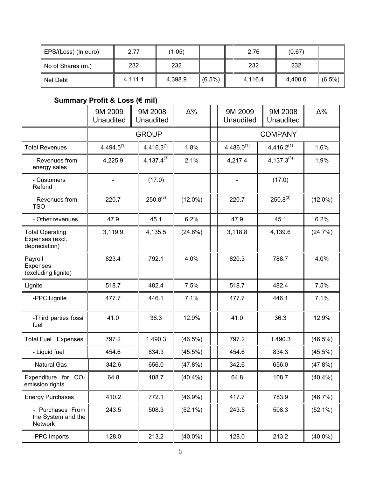| EPS/(Loss) (In euro) | 2.77    | (1.05)  |                    | 2.76    | (0.67)  |           |
|----------------------|---------|---------|--------------------|---------|---------|-----------|
| No of Shares (m.)    | 232     | 232     |                    | 232     | 232     |           |
| Net Debt             | 4.111.1 | 4,398.9 | $\parallel$ (6.5%) | 4,116.4 | 4,400.6 | $(6.5\%)$ |

# **Summary Profit & Loss (€ mil)**

|                                                            | 9M 2009<br><b>Unaudited</b> | 9M 2008<br>Unaudited | $\Delta\%$ | 9M 2009<br>Unaudited         | 9M 2008<br><b>Unaudited</b> | $\Delta\%$ |
|------------------------------------------------------------|-----------------------------|----------------------|------------|------------------------------|-----------------------------|------------|
|                                                            |                             | <b>GROUP</b>         |            |                              | <b>COMPANY</b>              |            |
| <b>Total Revenues</b>                                      | $4,494.5^{(1)}$             | $4,416.3^{(1)}$      | 1.8%       | $4,486.0^{(1)}$              | $4,416.2^{(1)}$             | 1.6%       |
| - Revenues from<br>energy sales                            | 4,225.9                     | $4,137.4^{(3)}$      | 2.1%       | 4,217.4                      | $4,137.3^{(3)}$             | 1.9%       |
| - Customers<br>Refund                                      |                             | (17.0)               |            | $\qquad \qquad \blacksquare$ | (17.0)                      |            |
| - Revenues from<br><b>TSO</b>                              | 220.7                       | $250.8^{(3)}$        | $(12.0\%)$ | 220.7                        | $250.8^{(3)}$               | $(12.0\%)$ |
| - Other revenues                                           | 47.9                        | 45.1                 | 6.2%       | 47.9                         | 45.1                        | 6.2%       |
| <b>Total Operating</b><br>Expenses (excl.<br>depreciation) | 3,119.9                     | 4,135.5              | (24.6%)    | 3,118.8                      | 4,139.6                     | (24.7%)    |
| Payroll<br>Expenses<br>(excluding lignite)                 | 823.4                       | 792.1                | 4.0%       | 820.3                        | 788.7                       | 4.0%       |
| Lignite                                                    | 518.7                       | 482.4                | 7.5%       | 518.7                        | 482.4                       | 7.5%       |
| -PPC Lignite                                               | 477.7                       | 446.1                | 7.1%       | 477.7                        | 446.1                       | 7.1%       |
| -Third parties fossil<br>fuel                              | 41.0                        | 36.3                 | 12.9%      | 41.0                         | 36.3                        | 12.9%      |
| <b>Total Fuel Expenses</b>                                 | 797.2                       | 1.490.3              | (46.5%)    | 797.2                        | 1.490.3                     | (46.5%)    |
| - Liquid fuel                                              | 454.6                       | 834.3                | $(45.5\%)$ | 454.6                        | 834.3                       | (45.5%)    |
| -Natural Gas                                               | 342.6                       | 656.0                | (47.8%)    | 342.6                        | 656.0                       | (47.8%)    |
| Expenditure for $CO2$<br>emission rights                   | 64.8                        | 108.7                | $(40.4\%)$ | 64.8                         | 108.7                       | $(40.4\%)$ |
| <b>Energy Purchases</b>                                    | 410.2                       | 772.1                | (46.9%)    | 417.7                        | 783.9                       | (46.7%)    |
| - Purchases From<br>the System and the<br>Network          | 243.5                       | 508.3                | $(52.1\%)$ | 243.5                        | 508.3                       | $(52.1\%)$ |
| -PPC Imports                                               | 128.0                       | 213.2                | $(40.0\%)$ | 128.0                        | 213.2                       | $(40.0\%)$ |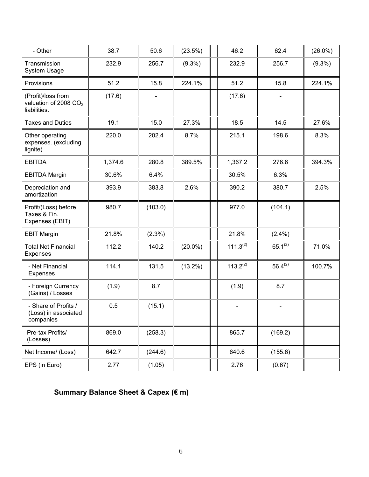| - Other                                                                 | 38.7    | 50.6      | (23.5%)    | 46.2           | 62.4                         | $(26.0\%)$ |
|-------------------------------------------------------------------------|---------|-----------|------------|----------------|------------------------------|------------|
| Transmission<br>System Usage                                            | 232.9   | 256.7     | $(9.3\%)$  | 232.9          | 256.7                        | $(9.3\%)$  |
| Provisions                                                              | 51.2    | 15.8      | 224.1%     | 51.2           | 15.8                         | 224.1%     |
| (Profit)/loss from<br>valuation of 2008 CO <sub>2</sub><br>liabilities. | (17.6)  |           |            | (17.6)         |                              |            |
| <b>Taxes and Duties</b>                                                 | 19.1    | 15.0      | 27.3%      | 18.5           | 14.5                         | 27.6%      |
| Other operating<br>expenses. (excluding<br>lignite)                     | 220.0   | 202.4     | 8.7%       | 215.1          | 198.6                        | 8.3%       |
| <b>EBITDA</b>                                                           | 1,374.6 | 280.8     | 389.5%     | 1,367.2        | 276.6                        | 394.3%     |
| <b>EBITDA Margin</b>                                                    | 30.6%   | 6.4%      |            | 30.5%          | 6.3%                         |            |
| Depreciation and<br>amortization                                        | 393.9   | 383.8     | 2.6%       | 390.2          | 380.7                        | 2.5%       |
| Profit/(Loss) before<br>Taxes & Fin.<br>Expenses (EBIT)                 | 980.7   | (103.0)   |            | 977.0          | (104.1)                      |            |
| <b>EBIT Margin</b>                                                      | 21.8%   | $(2.3\%)$ |            | 21.8%          | $(2.4\%)$                    |            |
| <b>Total Net Financial</b><br><b>Expenses</b>                           | 112.2   | 140.2     | $(20.0\%)$ | $111.3^{(2)}$  | $65.1^{(2)}$                 | 71.0%      |
| - Net Financial<br>Expenses                                             | 114.1   | 131.5     | $(13.2\%)$ | $113.2^{(2)}$  | $56.4^{(2)}$                 | 100.7%     |
| - Foreign Currency<br>(Gains) / Losses                                  | (1.9)   | 8.7       |            | (1.9)          | 8.7                          |            |
| - Share of Profits /<br>(Loss) in associated<br>companies               | 0.5     | (15.1)    |            | $\blacksquare$ | $\qquad \qquad \blacksquare$ |            |
| Pre-tax Profits/<br>(Losses)                                            | 869.0   | (258.3)   |            | 865.7          | (169.2)                      |            |
| Net Income/ (Loss)                                                      | 642.7   | (244.6)   |            | 640.6          | (155.6)                      |            |
| EPS (in Euro)                                                           | 2.77    | (1.05)    |            | 2.76           | (0.67)                       |            |

# **Summary Balance Sheet & Capex (€ m)**